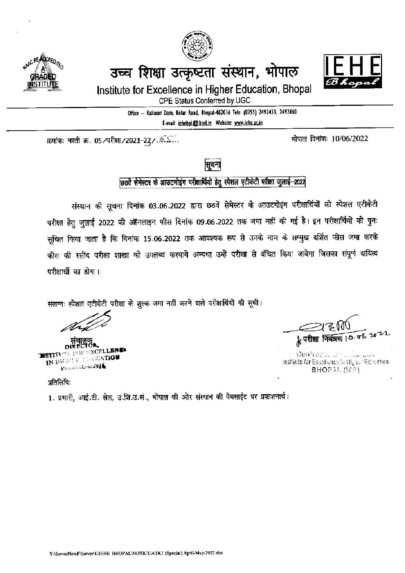

उच्च शिक्षा उत्कृष्टता संस्थान, भोपाल



Institute for Excellence in Higher Education, Bhopal

CPE Status Conferred by UGC

Office - Kaliasot Dam, Kolar Road, Bhopal-462016 Tele: (0755) 2492433, 2492460 E-mail: iehebpl@bsnLin Website: www.iche.ac.in

क्रमांकः नस्ती क्र. 05/परीक्षा/2021-22/. ...

भोपाल दिनांकः 10/06/2022



छ्ठवे सेमेस्टर के आउटगोइंग परीक्षार्थियों हेतु स्पेशल एटीकेटी परीक्षा जुलाई-2022

संस्थान की सूचना दिनांक 03.06.2022 द्वारा छठवें सेमेस्टर के आउटगोइंग परीक्षार्थियों को स्पेशल एटीकेटी परीक्षा हेतु जुलाई 2022 की ऑनलाइन फीस दिनांक 09.06.2022 तक जमा नहीं की गई है। इन परीक्षार्थियों को पुनः सूचित किया जाता है कि दिनांक 15.06.2022 तक आवश्यक रूप से उनके नाम के सम्मुख दर्शित फीस जमा करके फीस की रसीद परीक्षा शाखा को उपलब्ध करवाये अन्यथा उन्हें परीक्षा से बंचित किया जावेगा जिसका संपूर्ण दायित्व परीक्षार्थी का होगा।

संलग्नः स्पेशल एटीकेटी परीक्षा के शुल्क जमा नहीं करने वाले परीक्षार्थियों की सूची।

सचालव **MSTITUTE ROBE EXCELLER OF** IN RIGHT E LOGICATION **REGISTMENT OF ALL** 

Controllor of the law five Institute for Excellence in Higher Education **BHOPAL (MP)** 

प्रतिलिपिः

1. प्रभारी, आई.टी. सेल, उ.शि.उ.सं., भोपाल की ओर संस्थान की वेबसाईट पर प्रकाशनार्थ।